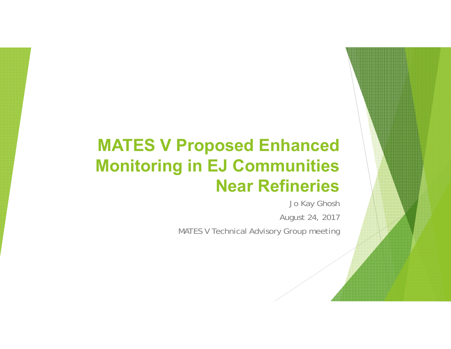# **MATES V Proposed Enhanced Monitoring in EJ Communities Near Refineries**

Jo Kay Ghosh August 24, 2017

MATES V Technical Advisory Group meeting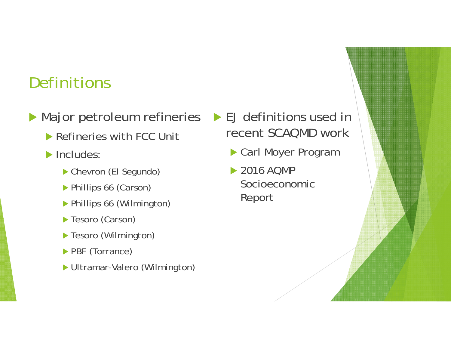### **Definitions**

- ▶ Major petroleum refineries ▶ EJ definitions used in
	- **Refineries with FCC Unit**
	- $\blacktriangleright$  Includes:
		- Chevron (El Segundo)
		- Phillips 66 (Carson)
		- Phillips 66 (Wilmington)
		- Tesoro (Carson)
		- Tesoro (Wilmington)
		- **PBF** (Torrance)
		- Ultramar-Valero (Wilmington)
- recent SCAQMD work
	- Carl Moyer Program
	- **▶ 2016 AQMP** Socioeconomic Report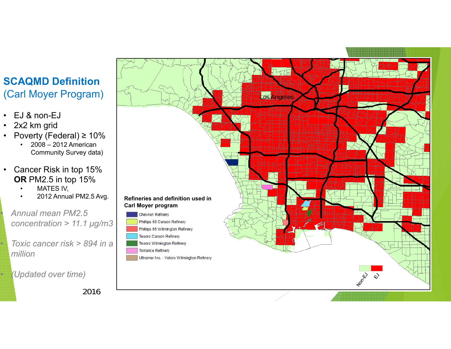#### **SCAQMD Definition**  (Carl Moyer Program)

- EJ & non-EJ
- 2x2 km grid

•

•

•

- Poverty (Federal) ≥ 10%
	- • 2008 – 2012 American Community Survey data)
- $\bullet$  Cancer Risk in top 15% **OR** PM2.5 in top 15%
	- •MATES IV,
	- •

 *Annual mean PM2.5 concentration > 11.1 μg/m3*

 *Toxic cancer risk > 894 in a million* 

*(Updated over time)*



2016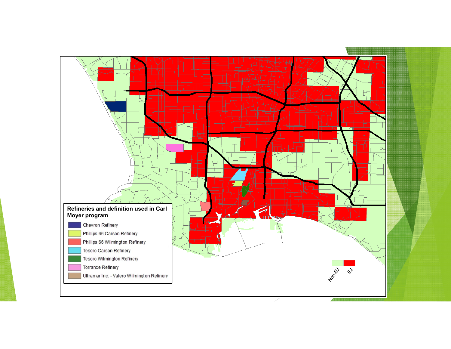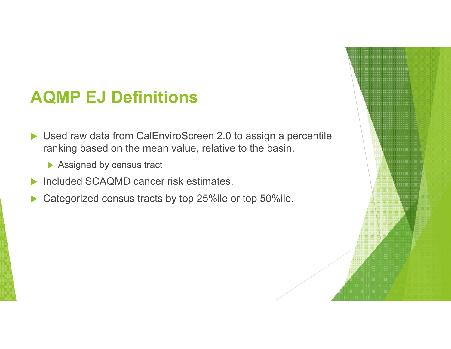### **AQMP EJ Definitions**

- ▶ Used raw data from CalEnviroScreen 2.0 to assign a percentile ranking based on the mean value, relative to the basin.
	- ▶ Assigned by census tract
- **Included SCAQMD cancer risk estimates.**
- $\blacktriangleright$ Categorized census tracts by top 25%ile or top 50%ile.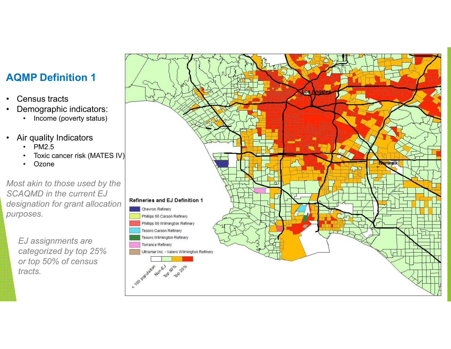#### **AQMP Definition 1**

- •Census tracts
- • Demographic indicators:
	- Income (poverty status)
- • Air quality Indicators
	- •PM2.5
	- •Toxic cancer risk (MATES IV)
	- •**Ozone**

*Most akin to those used by the SCAQMD in the current EJ designation for grant allocation purposes.*

*EJ assignments are categorized by top 25% or top 50% of census tracts.*

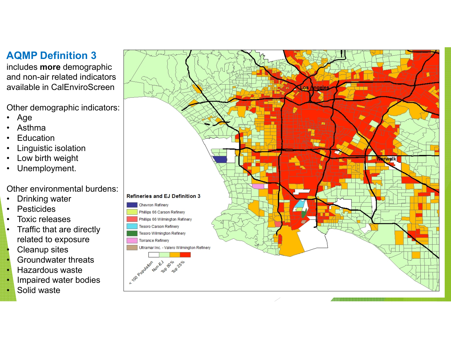#### **AQMP Definition 3**

includes **more** demographic and non-air related indicators available in CalEnviroScreen

Other demographic indicators:

- $\bullet$ Age
- •Asthma
- •**Education**
- •Linguistic isolation
- •Low birth weight
- •Unemployment.

Other environmental burdens:

- •Drinking water
- $\bullet$ Pesticides
- •Toxic releases
- $\bullet$  Traffic that are directly related to exposure
- •Cleanup sites
- •Groundwater threats
- •Hazardous waste
- •Impaired water bodies
- •Solid waste